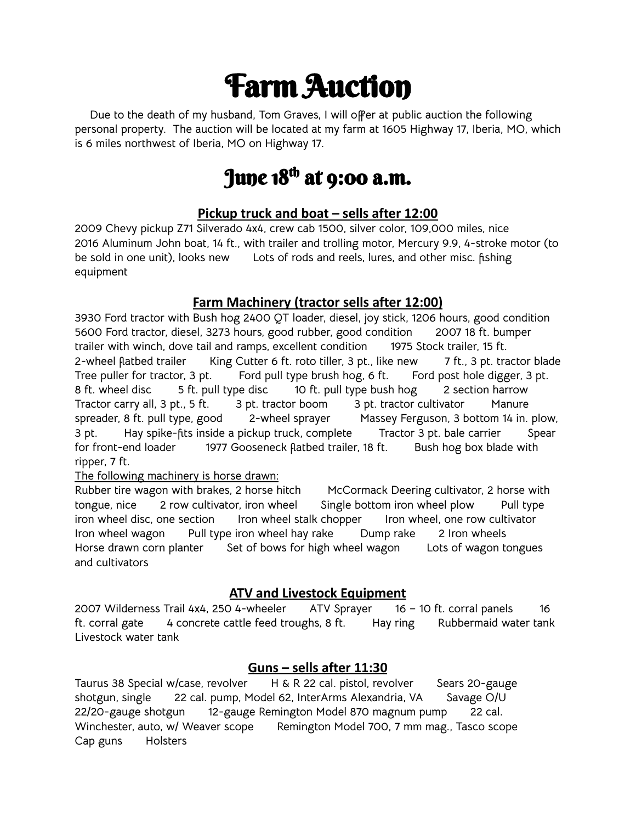## Farm Auction

**Due to the death of my husband, Tom Graves, I will offer at public auction the following personal property. The auction will be located at my farm at 1605 Highway 17, Iberia, MO, which is 6 miles northwest of Iberia, MO on Highway 17.**

### June 18<sup>th</sup> at 9:00 a.m.

#### **Pickup truck and boat – sells after 12:00**

**2009 Chevy pickup Z71 Silverado 4x4, crew cab 1500, silver color, 109,000 miles, nice 2016 Aluminum John boat, 14 ft., with trailer and trolling motor, Mercury 9.9, 4-stroke motor (to be sold in one unit), looks new Lots of rods and reels, lures, and other misc. fishing equipment**

#### **Farm Machinery (tractor sells after 12:00)**

**3930 Ford tractor with Bush hog 2400 QT loader, diesel, joy stick, 1206 hours, good condition 5600 Ford tractor, diesel, 3273 hours, good rubber, good condition 2007 18 ft. bumper trailer with winch, dove tail and ramps, excellent condition 1975 Stock trailer, 15 ft.** 2-wheel flatbed trailer King Cutter 6 ft. roto tiller, 3 pt., like new 7 ft., 3 pt. tractor blade **Tree puller for tractor, 3 pt. Ford pull type brush hog, 6 ft. Ford post hole digger, 3 pt. 8 ft. wheel disc 5 ft. pull type disc 10 ft. pull type bush hog 2 section harrow Tractor carry all, 3 pt., 5 ft. 3 pt. tractor boom 3 pt. tractor cultivator Manure spreader, 8 ft. pull type, good 2-wheel sprayer Massey Ferguson, 3 bottom 14 in. plow, 3 pt. Hay spike-fits inside a pickup truck, complete Tractor 3 pt. bale carrier Spear for front-end loader 1977 Gooseneck flatbed trailer, 18 ft. Bush hog box blade with ripper, 7 ft.**

#### **The following machinery is horse drawn:**

**Rubber tire wagon with brakes, 2 horse hitch McCormack Deering cultivator, 2 horse with tongue, nice 2 row cultivator, iron wheel Single bottom iron wheel plow Pull type iron wheel disc, one section Iron wheel stalk chopper Iron wheel, one row cultivator Iron wheel wagon Pull type iron wheel hay rake Dump rake 2 Iron wheels Horse drawn corn planter Set of bows for high wheel wagon Lots of wagon tongues and cultivators**

#### **ATV and Livestock Equipment**

**2007 Wilderness Trail 4x4, 250 4-wheeler ATV Sprayer 16 – 10 ft. corral panels 16 ft. corral gate 4 concrete cattle feed troughs, 8 ft. Hay ring Rubbermaid water tank Livestock water tank**

#### **Guns – sells after 11:30**

**Taurus 38 Special w/case, revolver H & R 22 cal. pistol, revolver Sears 20-gauge shotgun, single 22 cal. pump, Model 62, InterArms Alexandria, VA Savage O/U 22/20-gauge shotgun 12-gauge Remington Model 870 magnum pump 22 cal. Winchester, auto, w/ Weaver scope Remington Model 700, 7 mm mag., Tasco scope Cap guns Holsters**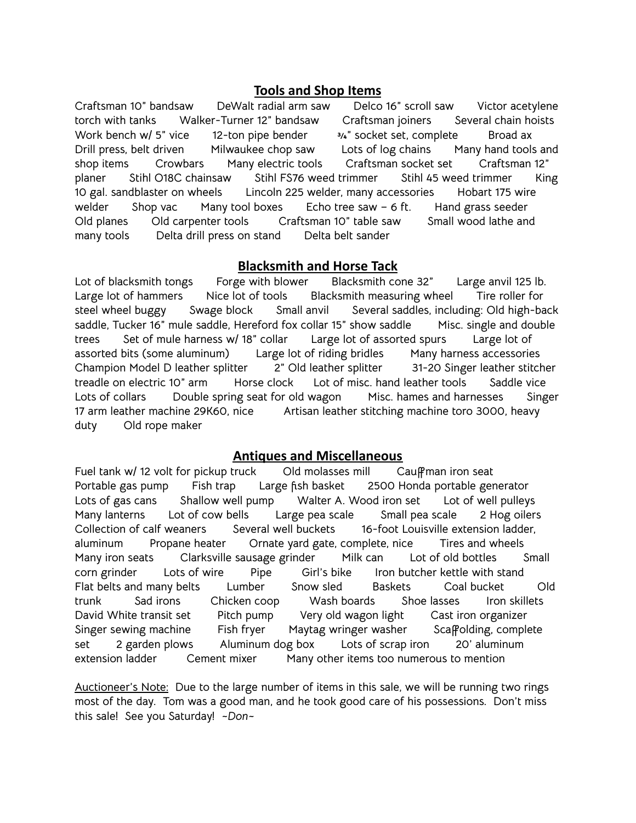#### **Tools and Shop Items**

**Craftsman 10" bandsaw DeWalt radial arm saw Delco 16" scroll saw Victor acetylene torch with tanks Walker-Turner 12" bandsaw Craftsman joiners Several chain hoists Work bench w/ 5" vice 12-ton pipe bender ¾" socket set, complete Broad ax Drill press, belt driven Milwaukee chop saw Lots of log chains Many hand tools and shop items Crowbars Many electric tools Craftsman socket set Craftsman 12" planer Stihl O18C chainsaw Stihl FS76 weed trimmer Stihl 45 weed trimmer King 10 gal. sandblaster on wheels Lincoln 225 welder, many accessories Hobart 175 wire welder Shop vac Many tool boxes Echo tree saw – 6 ft. Hand grass seeder Old planes Old carpenter tools Craftsman 10" table saw Small wood lathe and many tools Delta drill press on stand Delta belt sander**

#### **Blacksmith and Horse Tack**

**Lot of blacksmith tongs Forge with blower Blacksmith cone 32" Large anvil 125 lb. Large lot of hammers Nice lot of tools Blacksmith measuring wheel Tire roller for steel wheel buggy Swage block Small anvil Several saddles, including: Old high-back saddle, Tucker 16" mule saddle, Hereford fox collar 15" show saddle Misc. single and double trees Set of mule harness w/ 18" collar Large lot of assorted spurs Large lot of assorted bits (some aluminum) Large lot of riding bridles Many harness accessories Champion Model D leather splitter 2" Old leather splitter 31-20 Singer leather stitcher treadle on electric 10" arm Horse clock Lot of misc. hand leather tools Saddle vice Lots of collars Double spring seat for old wagon Misc. hames and harnesses Singer 17 arm leather machine 29K60, nice Artisan leather stitching machine toro 3000, heavy duty Old rope maker**

#### **Antiques and Miscellaneous**

**Fuel tank w/ 12 volt for pickup truck Old molasses mill Cauffman iron seat Portable gas pump Fish trap Large fish basket 2500 Honda portable generator Lots of gas cans Shallow well pump Walter A. Wood iron set Lot of well pulleys Many lanterns Lot of cow bells Large pea scale Small pea scale 2 Hog oilers Collection of calf weaners Several well buckets 16-foot Louisville extension ladder, aluminum Propane heater Ornate yard gate, complete, nice Tires and wheels Many iron seats Clarksville sausage grinder Milk can Lot of old bottles Small corn grinder Lots of wire Pipe Girl's bike Iron butcher kettle with stand Flat belts and many belts Lumber Snow sled Baskets Coal bucket Old trunk Sad irons Chicken coop Wash boards Shoe lasses Iron skillets David White transit set Pitch pump Very old wagon light Cast iron organizer Singer sewing machine Fish fryer Maytag wringer washer Scaffolding, complete set 2 garden plows Aluminum dog box Lots of scrap iron 20' aluminum extension ladder Cement mixer Many other items too numerous to mention**

**Auctioneer's Note: Due to the large number of items in this sale, we will be running two rings most of the day. Tom was a good man, and he took good care of his possessions. Don't miss this sale! See you Saturday! ~***Don~*